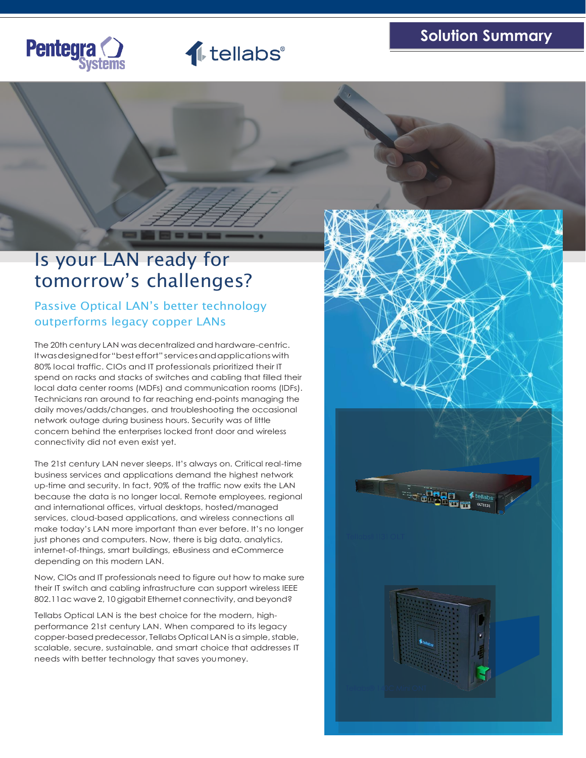



The Second

# Is your LAN ready for tomorrow's challenges?

# Passive Optical LAN's better technology outperforms legacy copper LANs

The 20th century LAN was decentralized and hardware-centric. Itwasdesignedfor"besteffort"servicesandapplicationswith 80% local traffic. CIOs and IT professionals prioritized their IT spend on racks and stacks of switches and cabling that filled their local data center rooms (MDFs) and communication rooms (IDFs). Technicians ran around to far reaching end-points managing the daily moves/adds/changes, and troubleshooting the occasional network outage during business hours. Security was of little concern behind the enterprises locked front door and wireless connectivity did not even exist yet.

The 21st century LAN never sleeps. It's always on. Critical real-time business services and applications demand the highest network up-time and security. In fact, 90% of the traffic now exits the LAN because the data is no longer local. Remote employees, regional and international offices, virtual desktops, hosted/managed services, cloud-based applications, and wireless connections all make today's LAN more important than ever before. It's no longer just phones and computers. Now, there is big data, analytics, internet-of-things, smart buildings, eBusiness and eCommerce depending on this modern LAN.

Now, CIOs and IT professionals need to figure out how to make sure their IT switch and cabling infrastructure can support wireless IEEE 802.11ac wave 2, 10 gigabit Ethernet connectivity, and beyond?

Tellabs Optical LAN is the best choice for the modern, highperformance 21st century LAN. When compared to its legacy copper-based predecessor, Tellabs Optical LAN is a simple, stable, scalable, secure, sustainable, and smart choice that addresses IT needs with better technology that saves youmoney.